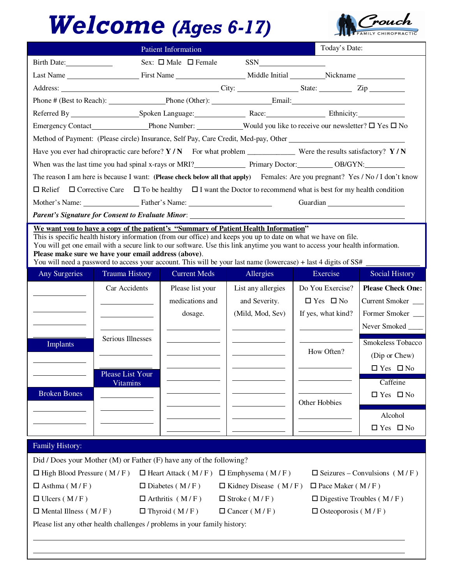## Welcome (Ages 6-17)



|                                                                                                                                                                                                                                | <b>Patient Information</b>                                                                                           | Today's Date:                                                                                                                  |
|--------------------------------------------------------------------------------------------------------------------------------------------------------------------------------------------------------------------------------|----------------------------------------------------------------------------------------------------------------------|--------------------------------------------------------------------------------------------------------------------------------|
| Birth Date: 1988                                                                                                                                                                                                               | Sex: $\Box$ Male $\Box$ Female                                                                                       |                                                                                                                                |
|                                                                                                                                                                                                                                |                                                                                                                      |                                                                                                                                |
| Address: City: City: City: State: Zip                                                                                                                                                                                          |                                                                                                                      |                                                                                                                                |
| Phone # (Best to Reach): Phone (Other): Email: Email:                                                                                                                                                                          |                                                                                                                      |                                                                                                                                |
|                                                                                                                                                                                                                                |                                                                                                                      |                                                                                                                                |
|                                                                                                                                                                                                                                |                                                                                                                      |                                                                                                                                |
| Method of Payment: (Please circle) Insurance, Self Pay, Care Credit, Med-pay, Other __________________________                                                                                                                 |                                                                                                                      |                                                                                                                                |
| Have you ever had chiropractic care before? $Y/N$ For what problem ______________ Were the results satisfactory? $Y/N$                                                                                                         |                                                                                                                      |                                                                                                                                |
| When was the last time you had spinal x-rays or MRI? Interaction of Primary Doctor: OB/GYN: University of MRI and Spinal x-rays or MRI and Spinary Doctor: University Doctor: University OB/GYN: University OB/GYN: University |                                                                                                                      |                                                                                                                                |
|                                                                                                                                                                                                                                |                                                                                                                      | The reason I am here is because I want: (Please check below all that apply) Females: Are you pregnant? Yes / No / I don't know |
| $\Box$ Relief $\Box$ Corrective Care $\Box$ To be healthy $\Box$ I want the Doctor to recommend what is best for my health condition                                                                                           |                                                                                                                      |                                                                                                                                |
| Mother's Name: Father's Name: Name:                                                                                                                                                                                            |                                                                                                                      | Guardian                                                                                                                       |
|                                                                                                                                                                                                                                |                                                                                                                      |                                                                                                                                |
| We want you to have a copy of the patient's "Summary of Patient Health Information"<br>This is specific health history information (from our office) and keeps you up to date on what we have on file.                         | المالي والمستحدث والمستحدث والمستحدث والمستحدث والمستحدث والمستحدث والمستحدث والمستحدث والمستحدث والمستحدث والمستحدث |                                                                                                                                |

You will get one email with a secure link to our software. Use this link anytime you want to access your health information. **Please make sure we have your email address (above)**.

You will need a password to access your account. This will be your last name (lowercase) + last 4 digits of SS#

| <b>Any Surgeries</b> | <b>Trauma History</b> | <b>Current Meds</b> | Allergies          | Exercise             | <b>Social History</b>    |
|----------------------|-----------------------|---------------------|--------------------|----------------------|--------------------------|
|                      | Car Accidents         | Please list your    | List any allergies | Do You Exercise?     | <b>Please Check One:</b> |
|                      |                       | medications and     | and Severity.      | $\Box$ Yes $\Box$ No | <b>Current Smoker</b>    |
|                      |                       | dosage.             | (Mild, Mod, Sev)   | If yes, what kind?   | Former Smoker            |
|                      |                       |                     |                    |                      | Never Smoked             |
| <b>Implants</b>      | Serious Illnesses     |                     |                    |                      | Smokeless Tobacco        |
|                      |                       |                     |                    | How Often?           | (Dip or Chew)            |
|                      | Please List Your      |                     |                    |                      | $\Box$ Yes $\Box$ No     |
|                      | <b>Vitamins</b>       |                     |                    |                      | Caffeine                 |
| <b>Broken Bones</b>  |                       |                     |                    |                      | $\Box$ Yes $\Box$ No     |
|                      |                       |                     |                    | Other Hobbies        |                          |
|                      |                       |                     |                    |                      | Alcohol                  |
|                      |                       |                     |                    |                      | $\Box$ Yes $\Box$ No     |

## Family History:

l

|                                                                            | Did / Does your Mother (M) or Father (F) have any of the following? |                             |                                     |  |  |  |  |  |
|----------------------------------------------------------------------------|---------------------------------------------------------------------|-----------------------------|-------------------------------------|--|--|--|--|--|
| $\Box$ High Blood Pressure (M/F)                                           | $\Box$ Heart Attack (M/F) $\Box$ Emphysema (M/F)                    |                             | $\Box$ Seizures – Convulsions (M/F) |  |  |  |  |  |
| $\Box$ Asthma (M/F)                                                        | $\square$ Diabetes (M/F)                                            | $\Box$ Kidney Disease (M/F) | $\Box$ Pace Maker (M/F)             |  |  |  |  |  |
| $\Box$ Ulcers (M/F)                                                        | $\Box$ Arthritis (M/F)                                              | $\Box$ Stroke (M/F)         | $\Box$ Digestive Troubles (M/F)     |  |  |  |  |  |
| $\Box$ Mental Illness (M/F)                                                | $\Box$ Thyroid (M/F)                                                | $\Box$ Cancer (M/F)         | $\Box$ Osteoporosis (M/F)           |  |  |  |  |  |
| Please list any other health challenges / problems in your family history: |                                                                     |                             |                                     |  |  |  |  |  |
|                                                                            |                                                                     |                             |                                     |  |  |  |  |  |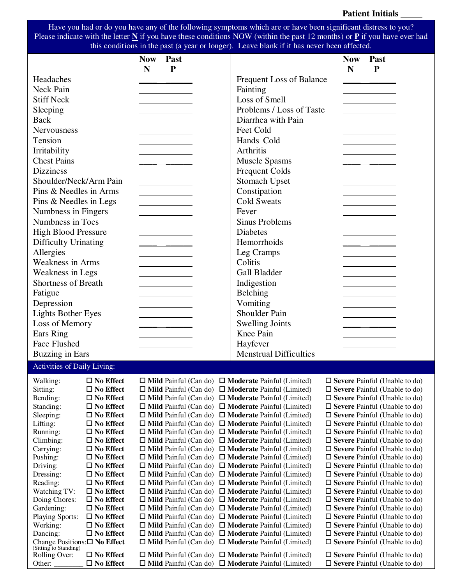Have you had or do you have any of the following symptoms which are or have been significant distress to you? Please indicate with the letter **N** if you have these conditions NOW (within the past 12 months) or **P** if you have ever had this conditions in the past (a year or longer). Leave blank if it has never been affected.

|                                                             |                                         | <b>Now</b> | Past        |                                                                                                                                  | <b>Now</b> | Past |                                                                              |
|-------------------------------------------------------------|-----------------------------------------|------------|-------------|----------------------------------------------------------------------------------------------------------------------------------|------------|------|------------------------------------------------------------------------------|
|                                                             |                                         | N          | $\mathbf P$ |                                                                                                                                  | N          | P    |                                                                              |
| Headaches                                                   |                                         |            |             | Frequent Loss of Balance                                                                                                         |            |      |                                                                              |
| Neck Pain                                                   |                                         |            |             | Fainting                                                                                                                         |            |      |                                                                              |
| <b>Stiff Neck</b>                                           |                                         |            |             | Loss of Smell                                                                                                                    |            |      |                                                                              |
| Sleeping                                                    |                                         |            |             | Problems / Loss of Taste                                                                                                         |            |      |                                                                              |
| <b>Back</b>                                                 |                                         |            |             | Diarrhea with Pain                                                                                                               |            |      |                                                                              |
| Nervousness                                                 |                                         |            |             | Feet Cold                                                                                                                        |            |      |                                                                              |
| Tension                                                     |                                         |            |             | Hands Cold                                                                                                                       |            |      |                                                                              |
| Irritability                                                |                                         |            |             | Arthritis                                                                                                                        |            |      |                                                                              |
| <b>Chest Pains</b>                                          |                                         |            |             | <b>Muscle Spasms</b>                                                                                                             |            |      |                                                                              |
| <b>Dizziness</b>                                            |                                         |            |             | <b>Frequent Colds</b>                                                                                                            |            |      |                                                                              |
| Shoulder/Neck/Arm Pain                                      |                                         |            |             | <b>Stomach Upset</b>                                                                                                             |            |      |                                                                              |
| Pins & Needles in Arms                                      |                                         |            |             | Constipation                                                                                                                     |            |      |                                                                              |
| Pins & Needles in Legs                                      |                                         |            |             | <b>Cold Sweats</b>                                                                                                               |            |      |                                                                              |
| Numbness in Fingers                                         |                                         |            |             | Fever                                                                                                                            |            |      |                                                                              |
| Numbness in Toes                                            |                                         |            |             | <b>Sinus Problems</b>                                                                                                            |            |      |                                                                              |
| <b>High Blood Pressure</b>                                  |                                         |            |             | <b>Diabetes</b>                                                                                                                  |            |      |                                                                              |
| Difficulty Urinating                                        |                                         |            |             | Hemorrhoids                                                                                                                      |            |      |                                                                              |
| Allergies                                                   |                                         |            |             | Leg Cramps                                                                                                                       |            |      |                                                                              |
| <b>Weakness in Arms</b>                                     |                                         |            |             | Colitis                                                                                                                          |            |      |                                                                              |
| Weakness in Legs                                            |                                         |            |             | <b>Gall Bladder</b>                                                                                                              |            |      |                                                                              |
| <b>Shortness of Breath</b>                                  |                                         |            |             | Indigestion                                                                                                                      |            |      |                                                                              |
| Fatigue                                                     |                                         |            |             | <b>Belching</b>                                                                                                                  |            |      |                                                                              |
| Depression                                                  |                                         |            |             | Vomiting                                                                                                                         |            |      |                                                                              |
| <b>Lights Bother Eyes</b>                                   |                                         |            |             | <b>Shoulder Pain</b>                                                                                                             |            |      |                                                                              |
| Loss of Memory                                              |                                         |            |             | <b>Swelling Joints</b>                                                                                                           |            |      |                                                                              |
| Ears Ring                                                   |                                         |            |             | Knee Pain                                                                                                                        |            |      |                                                                              |
| <b>Face Flushed</b>                                         |                                         |            |             |                                                                                                                                  |            |      |                                                                              |
|                                                             |                                         |            |             | Hayfever<br><b>Menstrual Difficulties</b>                                                                                        |            |      |                                                                              |
| <b>Buzzing in Ears</b>                                      |                                         |            |             |                                                                                                                                  |            |      |                                                                              |
| <b>Activities of Daily Living:</b>                          |                                         |            |             |                                                                                                                                  |            |      |                                                                              |
| Walking:                                                    | $\Box$<br>No Effect                     |            |             | $\Box$ Mild Painful (Can do) $\Box$ Moderate Painful (Limited)                                                                   |            |      | $\square$ Severe Painful (Unable to do)                                      |
| Sitting:                                                    | $\square$ No Effect                     |            |             | $\Box$ Mild Painful (Can do) $\Box$ Moderate Painful (Limited)                                                                   |            |      | $\Box$ Severe Painful (Unable to do)                                         |
| Bending:                                                    | $\square$ No Effect                     |            |             | $\Box$ Mild Painful (Can do) $\Box$ Moderate Painful (Limited)                                                                   |            |      | $\Box$ Severe Painful (Unable to do)                                         |
| Standing:<br>Sleeping:                                      | $\square$ No Effect<br>$\Box$ No Effect |            |             | $\Box$ Mild Painful (Can do) $\Box$ Moderate Painful (Limited)<br>$\Box$ Mild Painful (Can do) $\Box$ Moderate Painful (Limited) |            |      | $\Box$ Severe Painful (Unable to do)<br>$\Box$ Severe Painful (Unable to do) |
| Lifting:                                                    | $\square$ No Effect                     |            |             | $\Box$ Mild Painful (Can do) $\Box$ Moderate Painful (Limited)                                                                   |            |      | $\Box$ Severe Painful (Unable to do)                                         |
| Running:                                                    | $\square$ No Effect                     |            |             | $\Box$ Mild Painful (Can do) $\Box$ Moderate Painful (Limited)                                                                   |            |      | $\square$ Severe Painful (Unable to do)                                      |
| Climbing:                                                   | $\square$ No Effect                     |            |             | $\Box$ Mild Painful (Can do) $\Box$ Moderate Painful (Limited)                                                                   |            |      | $\Box$ Severe Painful (Unable to do)                                         |
| Carrying:                                                   | $\Box$ No Effect                        |            |             | $\Box$ Mild Painful (Can do) $\Box$ Moderate Painful (Limited)                                                                   |            |      | $\square$ Severe Painful (Unable to do)                                      |
| Pushing:                                                    | $\square$ No Effect                     |            |             | $\Box$ Mild Painful (Can do) $\Box$ Moderate Painful (Limited)                                                                   |            |      | $\Box$ Severe Painful (Unable to do)                                         |
| Driving:<br>Dressing:                                       | $\square$ No Effect<br>$\Box$ No Effect |            |             | $\Box$ Mild Painful (Can do) $\Box$ Moderate Painful (Limited)<br>$\Box$ Mild Painful (Can do) $\Box$ Moderate Painful (Limited) |            |      | $\Box$ Severe Painful (Unable to do)<br>$\Box$ Severe Painful (Unable to do) |
| Reading:                                                    | $\square$ No Effect                     |            |             | $\Box$ Mild Painful (Can do) $\Box$ Moderate Painful (Limited)                                                                   |            |      | $\square$ Severe Painful (Unable to do)                                      |
| Watching TV:                                                | $\Box$ No Effect                        |            |             | $\Box$ Mild Painful (Can do) $\Box$ Moderate Painful (Limited)                                                                   |            |      | $\Box$ Severe Painful (Unable to do)                                         |
| Doing Chores:                                               | $\square$ No Effect                     |            |             | $\Box$ Mild Painful (Can do) $\Box$ Moderate Painful (Limited)                                                                   |            |      | $\Box$ Severe Painful (Unable to do)                                         |
| Gardening:                                                  | $\square$ No Effect                     |            |             | $\Box$ Mild Painful (Can do) $\Box$ Moderate Painful (Limited)                                                                   |            |      | $\Box$ Severe Painful (Unable to do)                                         |
| <b>Playing Sports:</b><br>Working:                          | $\Box$ No Effect<br>$\square$ No Effect |            |             | $\Box$ Mild Painful (Can do) $\Box$ Moderate Painful (Limited)                                                                   |            |      | $\Box$ Severe Painful (Unable to do)                                         |
| Dancing:                                                    | $\square$ No Effect                     |            |             | $\Box$ Mild Painful (Can do) $\Box$ Moderate Painful (Limited)<br>$\Box$ Mild Painful (Can do) $\Box$ Moderate Painful (Limited) |            |      | $\Box$ Severe Painful (Unable to do)<br>$\Box$ Severe Painful (Unable to do) |
| Change Positions: $\square$ No Effect (Sitting to Standing) |                                         |            |             | $\Box$ Mild Painful (Can do) $\Box$ Moderate Painful (Limited)                                                                   |            |      | $\square$ Severe Painful (Unable to do)                                      |
| Rolling Over:                                               | $\square$ No Effect                     |            |             | $\Box$ Mild Painful (Can do) $\Box$ Moderate Painful (Limited)                                                                   |            |      | $\Box$ Severe Painful (Unable to do)                                         |
| Other:                                                      | $\square$ No Effect                     |            |             | $\Box$ Mild Painful (Can do) $\Box$ Moderate Painful (Limited)                                                                   |            |      | $\Box$ Severe Painful (Unable to do)                                         |